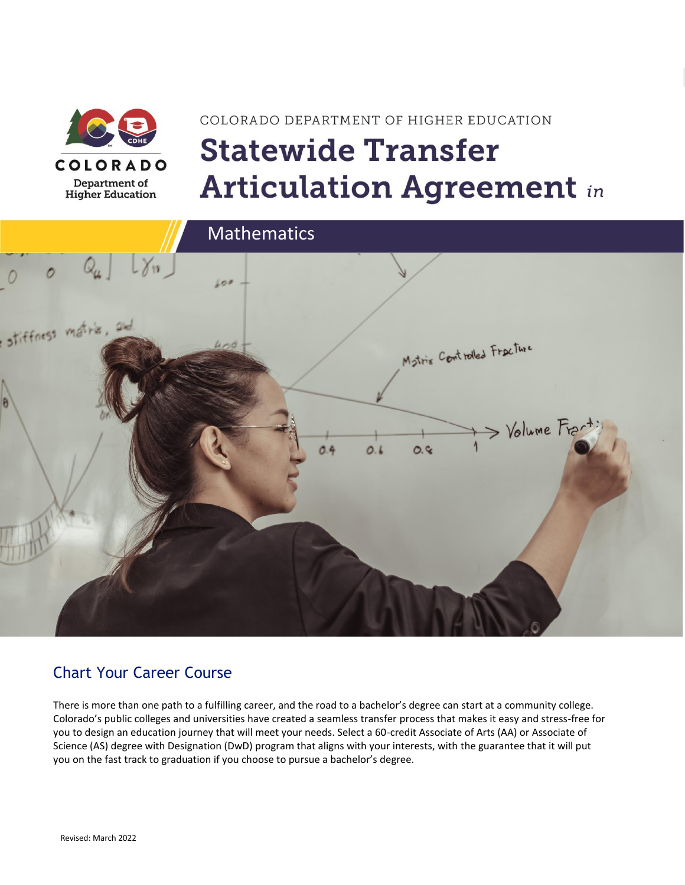

# COLORADO DEPARTMENT OF HIGHER EDUCATION **Statewide Transfer Articulation Agreement in**



### Chart Your Career Course

There is more than one path to a fulfilling career, and the road to a bachelor's degree can start at a community college. Colorado's public colleges and universities have created a seamless transfer process that makes it easy and stress-free for you to design an education journey that will meet your needs. Select a 60-credit Associate of Arts (AA) or Associate of Science (AS) degree with Designation (DwD) program that aligns with your interests, with the guarantee that it will put you on the fast track to graduation if you choose to pursue a bachelor's degree.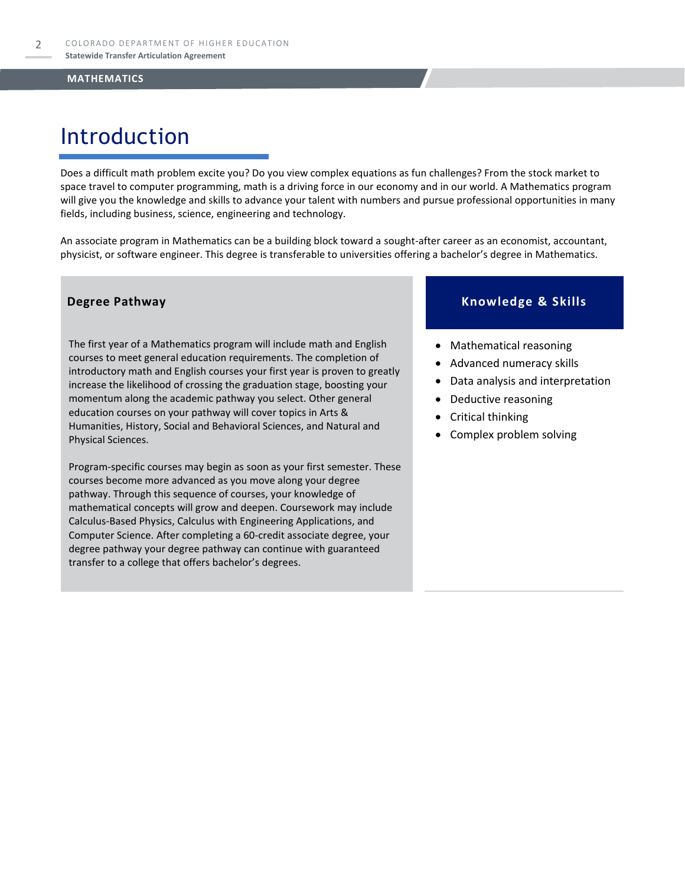### Introduction

Does a difficult math problem excite you? Do you view complex equations as fun challenges? From the stock market to space travel to computer programming, math is a driving force in our economy and in our world. A Mathematics program will give you the knowledge and skills to advance your talent with numbers and pursue professional opportunities in many fields, including business, science, engineering and technology.

An associate program in Mathematics can be a building block toward a sought-after career as an economist, accountant, physicist, or software engineer. This degree is transferable to universities offering a bachelor's degree in Mathematics.

The first year of a Mathematics program will include math and English courses to meet general education requirements. The completion of introductory math and English courses your first year is proven to greatly increase the likelihood of crossing the graduation stage, boosting your momentum along the academic pathway you select. Other general education courses on your pathway will cover topics in Arts & Humanities, History, Social and Behavioral Sciences, and Natural and Physical Sciences.

Program-specific courses may begin as soon as your first semester. These courses become more advanced as you move along your degree pathway. Through this sequence of courses, your knowledge of mathematical concepts will grow and deepen. Coursework may include Calculus-Based Physics, Calculus with Engineering Applications, and Computer Science. After completing a 60-credit associate degree, your degree pathway your degree pathway can continue with guaranteed transfer to a college that offers bachelor's degrees.

### **Degree Pathway Knowledge & Skills**

- Mathematical reasoning
- Advanced numeracy skills
- Data analysis and interpretation
- Deductive reasoning
- Critical thinking
- Complex problem solving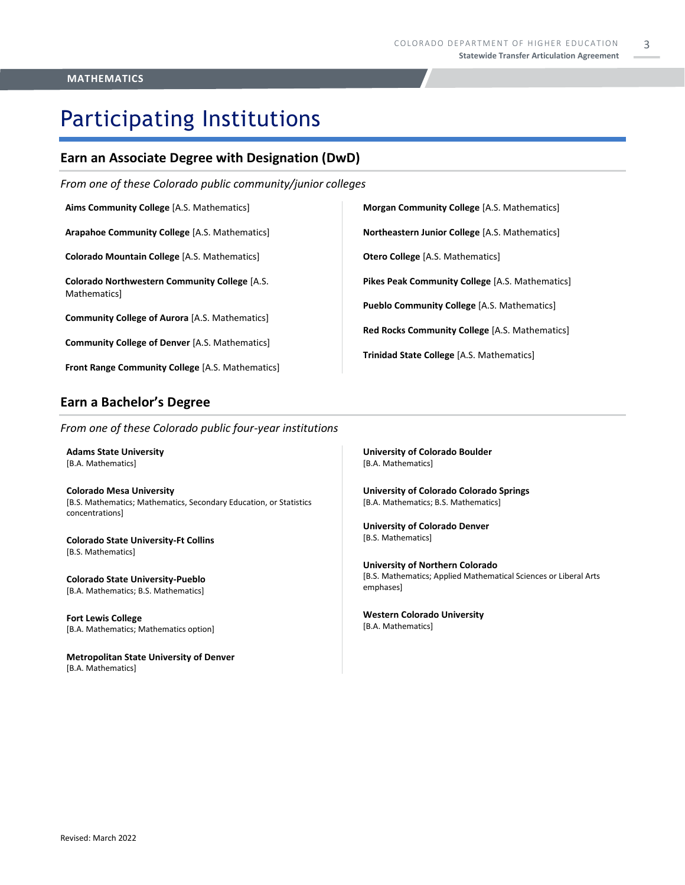## Participating Institutions

### **Earn an Associate Degree with Designation (DwD)**

*From one of these Colorado public community/junior colleges*

**Aims Community College** [A.S. Mathematics]

**Arapahoe Community College** [A.S. Mathematics]

**Colorado Mountain College** [A.S. Mathematics]

**Colorado Northwestern Community College** [A.S. Mathematics]

**Community College of Aurora** [A.S. Mathematics]

**Community College of Denver** [A.S. Mathematics]

**Front Range Community College** [A.S. Mathematics]

### **Earn a Bachelor's Degree**

*From one of these Colorado public four-year institutions*

**Adams State University**  [B.A. Mathematics]

**Colorado Mesa University**  [B.S. Mathematics; Mathematics, Secondary Education, or Statistics concentrations]

**Colorado State University-Ft Collins**  [B.S. Mathematics]

**Colorado State University-Pueblo**  [B.A. Mathematics; B.S. Mathematics]

**Fort Lewis College**  [B.A. Mathematics; Mathematics option]

**Metropolitan State University of Denver**  [B.A. Mathematics]

**University of Colorado Boulder**  [B.A. Mathematics]

**University of Colorado Colorado Springs** [B.A. Mathematics; B.S. Mathematics]

**Morgan Community College** [A.S. Mathematics]

**Northeastern Junior College** [A.S. Mathematics]

**Pikes Peak Community College** [A.S. Mathematics]

**Red Rocks Community College** [A.S. Mathematics]

**Pueblo Community College** [A.S. Mathematics]

**Trinidad State College** [A.S. Mathematics]

**Otero College** [A.S. Mathematics]

**University of Colorado Denver** [B.S. Mathematics]

**University of Northern Colorado** [B.S. Mathematics; Applied Mathematical Sciences or Liberal Arts emphases]

**Western Colorado University** [B.A. Mathematics]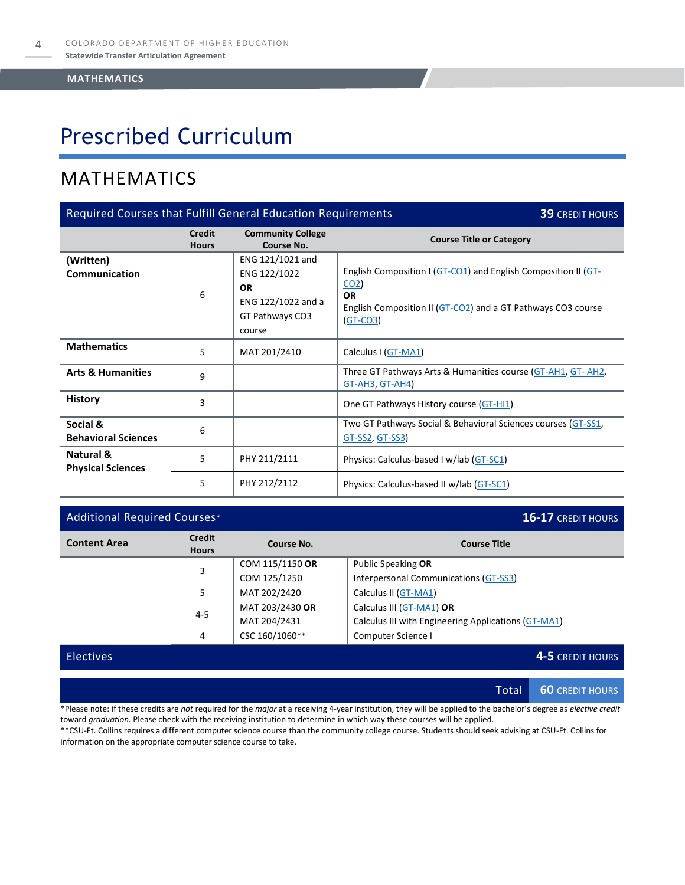## Prescribed Curriculum

### MATHEMATICS

| Required Courses that Fulfill General Education Requirements<br><b>39 CREDIT HOURS</b> |                               |                                                                                                  |                                                                                                                                                                              |  |
|----------------------------------------------------------------------------------------|-------------------------------|--------------------------------------------------------------------------------------------------|------------------------------------------------------------------------------------------------------------------------------------------------------------------------------|--|
|                                                                                        | <b>Credit</b><br><b>Hours</b> | <b>Community College</b><br><b>Course No.</b>                                                    | <b>Course Title or Category</b>                                                                                                                                              |  |
| (Written)<br><b>Communication</b>                                                      | 6                             | ENG 121/1021 and<br>ENG 122/1022<br><b>OR</b><br>ENG 122/1022 and a<br>GT Pathways CO3<br>course | English Composition I (GT-CO1) and English Composition II (GT-<br>CO <sub>2</sub><br><b>OR</b><br>English Composition II (GT-CO2) and a GT Pathways CO3 course<br>$(GT-CO3)$ |  |
| <b>Mathematics</b>                                                                     | 5                             | MAT 201/2410                                                                                     | Calculus I (GT-MA1)                                                                                                                                                          |  |
| <b>Arts &amp; Humanities</b>                                                           | 9                             |                                                                                                  | Three GT Pathways Arts & Humanities course (GT-AH1, GT-AH2,<br>GT-AH3, GT-AH4)                                                                                               |  |
| <b>History</b>                                                                         | 3                             |                                                                                                  | One GT Pathways History course (GT-HI1)                                                                                                                                      |  |
| Social &<br><b>Behavioral Sciences</b>                                                 | 6                             |                                                                                                  | Two GT Pathways Social & Behavioral Sciences courses (GT-SS1,<br>GT-SS2, GT-SS3)                                                                                             |  |
| Natural &<br><b>Physical Sciences</b>                                                  | 5                             | PHY 211/2111                                                                                     | Physics: Calculus-based I w/lab (GT-SC1)                                                                                                                                     |  |
|                                                                                        | 5                             | PHY 212/2112                                                                                     | Physics: Calculus-based II w/lab (GT-SC1)                                                                                                                                    |  |

### Additional Required Courses\* **16-17** CREDIT HOURS

| <b>Content Area</b>                  | <b>Credit</b><br><b>Hours</b> | Course No.      | <b>Course Title</b>                                 |
|--------------------------------------|-------------------------------|-----------------|-----------------------------------------------------|
|                                      | 3                             | COM 115/1150 OR | Public Speaking OR                                  |
|                                      |                               | COM 125/1250    | Interpersonal Communications (GT-SS3)               |
| MAT 202/2420<br>Calculus II (GT-MA1) |                               |                 |                                                     |
|                                      | $4 - 5$                       | MAT 203/2430 OR | Calculus III (GT-MA1) OR                            |
|                                      |                               | MAT 204/2431    | Calculus III with Engineering Applications (GT-MA1) |
|                                      | 4                             | CSC 160/1060**  | Computer Science I                                  |

### Electives **4-5** CREDIT HOURS

Total **60** CREDIT HOURS

\*Please note: if these credits are *not* required for the *major* at a receiving 4-year institution, they will be applied to the bachelor's degree as *elective credit* toward *graduation.* Please check with the receiving institution to determine in which way these courses will be applied.

\*\*CSU-Ft. Collins requires a different computer science course than the community college course. Students should seek advising at CSU-Ft. Collins for information on the appropriate computer science course to take.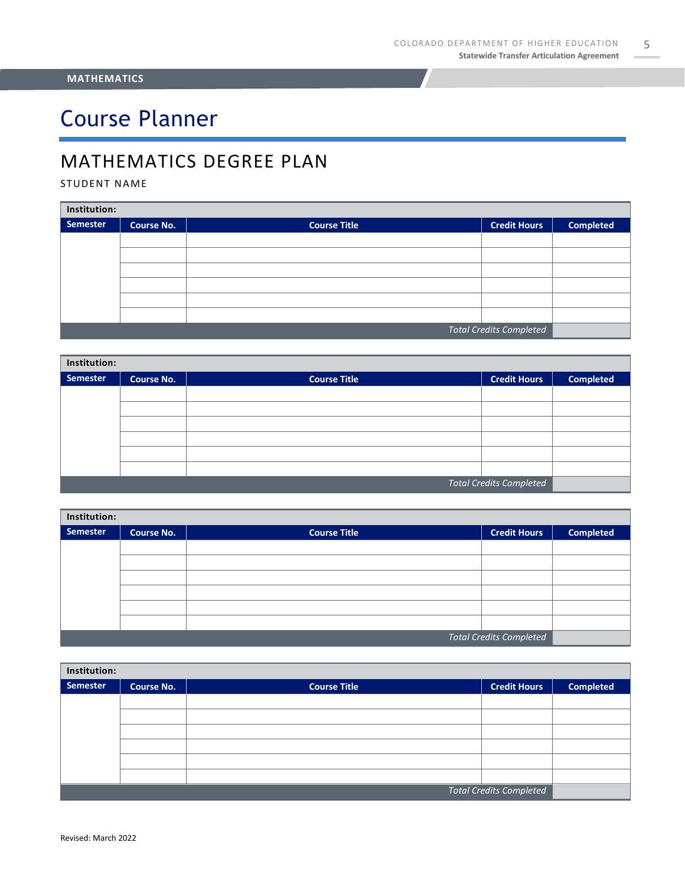## Course Planner

### MATHEMATICS DEGREE PLAN

### STUDENT NAME

| Institution:                   |                   |                     |                     |                  |  |  |
|--------------------------------|-------------------|---------------------|---------------------|------------------|--|--|
| Semester                       | <b>Course No.</b> | <b>Course Title</b> | <b>Credit Hours</b> | <b>Completed</b> |  |  |
|                                |                   |                     |                     |                  |  |  |
|                                |                   |                     |                     |                  |  |  |
|                                |                   |                     |                     |                  |  |  |
|                                |                   |                     |                     |                  |  |  |
|                                |                   |                     |                     |                  |  |  |
|                                |                   |                     |                     |                  |  |  |
| <b>Total Credits Completed</b> |                   |                     |                     |                  |  |  |

| Institution:                   |                   |                     |                     |                  |  |  |
|--------------------------------|-------------------|---------------------|---------------------|------------------|--|--|
| Semester                       | <b>Course No.</b> | <b>Course Title</b> | <b>Credit Hours</b> | <b>Completed</b> |  |  |
|                                |                   |                     |                     |                  |  |  |
|                                |                   |                     |                     |                  |  |  |
|                                |                   |                     |                     |                  |  |  |
|                                |                   |                     |                     |                  |  |  |
|                                |                   |                     |                     |                  |  |  |
|                                |                   |                     |                     |                  |  |  |
| <b>Total Credits Completed</b> |                   |                     |                     |                  |  |  |

| Institution:                   |                   |                     |                     |                  |  |
|--------------------------------|-------------------|---------------------|---------------------|------------------|--|
| Semester                       | <b>Course No.</b> | <b>Course Title</b> | <b>Credit Hours</b> | <b>Completed</b> |  |
|                                |                   |                     |                     |                  |  |
|                                |                   |                     |                     |                  |  |
|                                |                   |                     |                     |                  |  |
|                                |                   |                     |                     |                  |  |
|                                |                   |                     |                     |                  |  |
|                                |                   |                     |                     |                  |  |
| <b>Total Credits Completed</b> |                   |                     |                     |                  |  |

| Institution:                   |                   |                     |                     |                  |  |
|--------------------------------|-------------------|---------------------|---------------------|------------------|--|
| Semester                       | <b>Course No.</b> | <b>Course Title</b> | <b>Credit Hours</b> | <b>Completed</b> |  |
|                                |                   |                     |                     |                  |  |
|                                |                   |                     |                     |                  |  |
|                                |                   |                     |                     |                  |  |
|                                |                   |                     |                     |                  |  |
|                                |                   |                     |                     |                  |  |
|                                |                   |                     |                     |                  |  |
| <b>Total Credits Completed</b> |                   |                     |                     |                  |  |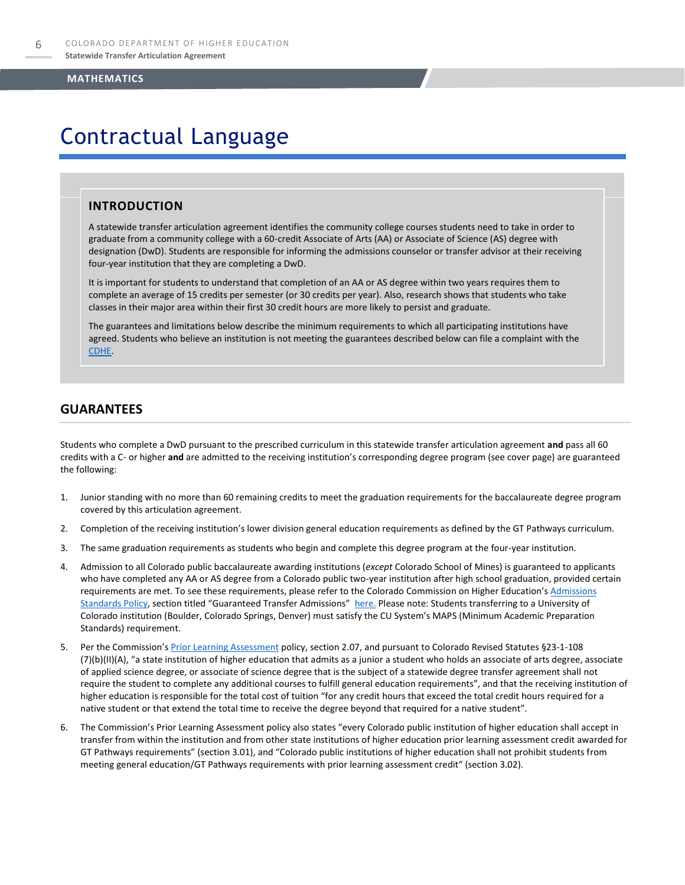### Contractual Language

### **INTRODUCTION**

A statewide transfer articulation agreement identifies the community college courses students need to take in order to graduate from a community college with a 60-credit Associate of Arts (AA) or Associate of Science (AS) degree with designation (DwD). Students are responsible for informing the admissions counselor or transfer advisor at their receiving four-year institution that they are completing a DwD.

It is important for students to understand that completion of an AA or AS degree within two years requires them to complete an average of 15 credits per semester (or 30 credits per year). Also, research shows that students who take classes in their major area within their first 30 credit hours are more likely to persist and graduate.

The guarantees and limitations below describe the minimum requirements to which all participating institutions have agreed. Students who believe an institution is not meeting the guarantees described below can file a complaint with the [CDHE.](https://highered.colorado.gov/filing-student-complaint)

### **GUARANTEES**

Students who complete a DwD pursuant to the prescribed curriculum in this statewide transfer articulation agreement **and** pass all 60 credits with a C- or higher **and** are admitted to the receiving institution's corresponding degree program (see cover page) are guaranteed the following:

- 1. Junior standing with no more than 60 remaining credits to meet the graduation requirements for the baccalaureate degree program covered by this articulation agreement.
- 2. Completion of the receiving institution's lower division general education requirements as defined by the GT Pathways curriculum.
- 3. The same graduation requirements as students who begin and complete this degree program at the four-year institution.
- 4. Admission to all Colorado public baccalaureate awarding institutions (*except* Colorado School of Mines) is guaranteed to applicants who have completed any AA or AS degree from a Colorado public two-year institution after high school graduation, provided certain requirements are met. To see these requirements, please refer to the Colorado Commission on Higher Education's Admissions [Standards Policy](https://highered.colorado.gov/sites/highered/files/2020-03/i-partf_0.pdf), section titled "Guaranteed Transfer Admissions" [here.](https://highered.colorado.gov/educators/policy-funding/cche-policies-procedures) Please note: Students transferring to a University of Colorado institution (Boulder, Colorado Springs, Denver) must satisfy the CU System's MAPS (Minimum Academic Preparation Standards) requirement.
- 5. Per the Commission's **[Prior Learning Assessment](https://highered.colorado.gov/sites/highered/files/2020-03/i-partx.pdf)** policy, section 2.07, and pursuant to Colorado Revised Statutes §23-1-108 (7)(b)(II)(A), "a state institution of higher education that admits as a junior a student who holds an associate of arts degree, associate of applied science degree, or associate of science degree that is the subject of a statewide degree transfer agreement shall not require the student to complete any additional courses to fulfill general education requirements", and that the receiving institution of higher education is responsible for the total cost of tuition "for any credit hours that exceed the total credit hours required for a native student or that extend the total time to receive the degree beyond that required for a native student".
- 6. The Commission's Prior Learning Assessment policy also states "every Colorado public institution of higher education shall accept in transfer from within the institution and from other state institutions of higher education prior learning assessment credit awarded for GT Pathways requirements" (section 3.01), and "Colorado public institutions of higher education shall not prohibit students from meeting general education/GT Pathways requirements with prior learning assessment credit" (section 3.02).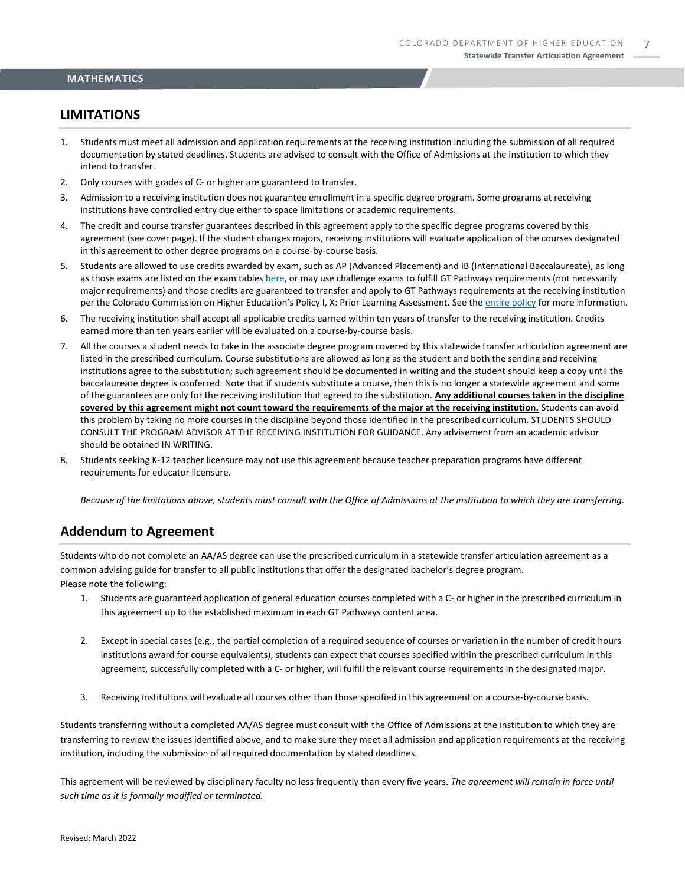### **LIMITATIONS**

- 1. Students must meet all admission and application requirements at the receiving institution including the submission of all required documentation by stated deadlines. Students are advised to consult with the Office of Admissions at the institution to which they intend to transfer.
- 2. Only courses with grades of C- or higher are guaranteed to transfer.
- 3. Admission to a receiving institution does not guarantee enrollment in a specific degree program. Some programs at receiving institutions have controlled entry due either to space limitations or academic requirements.
- 4. The credit and course transfer guarantees described in this agreement apply to the specific degree programs covered by this agreement (see cover page). If the student changes majors, receiving institutions will evaluate application of the courses designated in this agreement to other degree programs on a course-by-course basis.
- 5. Students are allowed to use credits awarded by exam, such as AP (Advanced Placement) and IB (International Baccalaureate), as long as those exams are listed on the exam table[s here,](https://highered.colorado.gov/get-credit-for-what-you-already-know) or may use challenge exams to fulfill GT Pathways requirements (not necessarily major requirements) and those credits are guaranteed to transfer and apply to GT Pathways requirements at the receiving institution per the Colorado Commission on Higher Education's Policy I, X: Prior Learning Assessment. See the [entire policy](https://highered.colorado.gov/sites/highered/files/2020-03/i-partx.pdf) for more information.
- 6. The receiving institution shall accept all applicable credits earned within ten years of transfer to the receiving institution. Credits earned more than ten years earlier will be evaluated on a course-by-course basis.
- 7. All the courses a student needs to take in the associate degree program covered by this statewide transfer articulation agreement are listed in the prescribed curriculum. Course substitutions are allowed as long as the student and both the sending and receiving institutions agree to the substitution; such agreement should be documented in writing and the student should keep a copy until the baccalaureate degree is conferred. Note that if students substitute a course, then this is no longer a statewide agreement and some of the guarantees are only for the receiving institution that agreed to the substitution. **Any additional courses taken in the discipline covered by this agreement might not count toward the requirements of the major at the receiving institution.** Students can avoid this problem by taking no more courses in the discipline beyond those identified in the prescribed curriculum. STUDENTS SHOULD CONSULT THE PROGRAM ADVISOR AT THE RECEIVING INSTITUTION FOR GUIDANCE. Any advisement from an academic advisor should be obtained IN WRITING.
- 8. Students seeking K-12 teacher licensure may not use this agreement because teacher preparation programs have different requirements for educator licensure.

*Because of the limitations above, students must consult with the Office of Admissions at the institution to which they are transferring.*

### **Addendum to Agreement**

Students who do not complete an AA/AS degree can use the prescribed curriculum in a statewide transfer articulation agreement as a common advising guide for transfer to all public institutions that offer the designated bachelor's degree program. Please note the following:

- 1. Students are guaranteed application of general education courses completed with a C- or higher in the prescribed curriculum in this agreement up to the established maximum in each GT Pathways content area.
- 2. Except in special cases (e.g., the partial completion of a required sequence of courses or variation in the number of credit hours institutions award for course equivalents), students can expect that courses specified within the prescribed curriculum in this agreement, successfully completed with a C- or higher, will fulfill the relevant course requirements in the designated major.
- 3. Receiving institutions will evaluate all courses other than those specified in this agreement on a course-by-course basis.

Students transferring without a completed AA/AS degree must consult with the Office of Admissions at the institution to which they are transferring to review the issues identified above, and to make sure they meet all admission and application requirements at the receiving institution, including the submission of all required documentation by stated deadlines.

This agreement will be reviewed by disciplinary faculty no less frequently than every five years. *The agreement will remain in force until such time as it is formally modified or terminated.*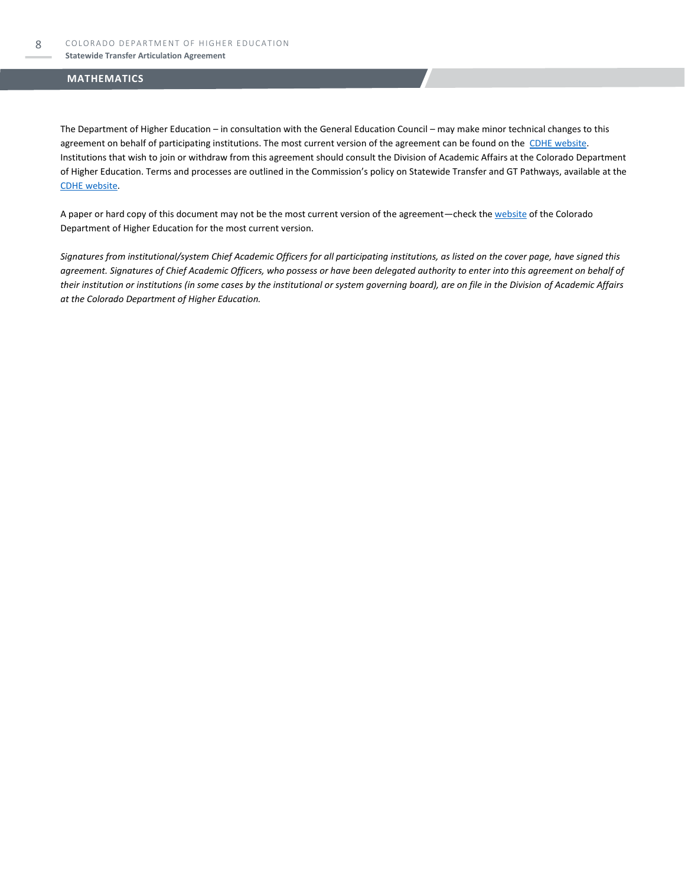The Department of Higher Education – in consultation with the General Education Council – may make minor technical changes to this agreement on behalf of participating institutions. The most current version of the agreement can be found on the [CDHE website.](https://highered.colorado.gov/transfer-degrees) Institutions that wish to join or withdraw from this agreement should consult the Division of Academic Affairs at the Colorado Department of Higher Education. Terms and processes are outlined in the Commission's policy on Statewide Transfer and GT Pathways, available at the CDHE [website.](https://highered.colorado.gov/educators/policy-funding/general-education-ge-council/gtpathways/transfer-agreements)

A paper or hard copy of this document may not be the most current version of the agreement—check th[e website](https://highered.colorado.gov/transfer-degrees) of the Colorado Department of Higher Education for the most current version.

*Signatures from institutional/system Chief Academic Officers for all participating institutions, as listed on the cover page, have signed this agreement. Signatures of Chief Academic Officers, who possess or have been delegated authority to enter into this agreement on behalf of their institution or institutions (in some cases by the institutional or system governing board), are on file in the Division of Academic Affairs at the Colorado Department of Higher Education.*